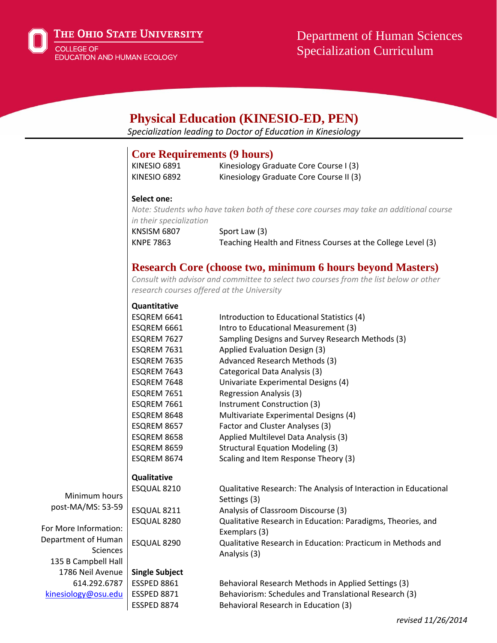

THE OHIO STATE UNIVERSITY

**COLLEGE OF** EDUCATION AND HUMAN ECOLOGY

# Department of Human Sciences Specialization Curriculum

## **Physical Education (KINESIO-ED, PEN)**

*Specialization leading to Doctor of Education in Kinesiology*

## **Core Requirements (9 hours)**

| KINESIO 6891 | Kinesiology Graduate Core Course I (3)  |
|--------------|-----------------------------------------|
| KINESIO 6892 | Kinesiology Graduate Core Course II (3) |

#### **Select one:**

*Note: Students who have taken both of these core courses may take an additional course in their specialization*

KNSISM 6807 Sport Law (3) KNPE 7863 Teaching Health and Fitness Courses at the College Level (3)

## **Research Core (choose two, minimum 6 hours beyond Masters)**

*Consult with advisor and committee to select two courses from the list below or other research courses offered at the University*

| Quantitative |
|--------------|
|--------------|

|                       | ESQREM 6641           | Introduction to Educational Statistics (4)                       |
|-----------------------|-----------------------|------------------------------------------------------------------|
|                       | ESQREM 6661           | Intro to Educational Measurement (3)                             |
|                       | ESQREM 7627           | Sampling Designs and Survey Research Methods (3)                 |
|                       | ESQREM 7631           | Applied Evaluation Design (3)                                    |
|                       | ESQREM 7635           | Advanced Research Methods (3)                                    |
|                       | ESQREM 7643           | Categorical Data Analysis (3)                                    |
|                       | ESQREM 7648           | Univariate Experimental Designs (4)                              |
|                       | ESQREM 7651           | <b>Regression Analysis (3)</b>                                   |
|                       | ESQREM 7661           | Instrument Construction (3)                                      |
|                       | ESQREM 8648           | Multivariate Experimental Designs (4)                            |
|                       | ESQREM 8657           | Factor and Cluster Analyses (3)                                  |
|                       | ESQREM 8658           | Applied Multilevel Data Analysis (3)                             |
|                       | ESQREM 8659           | <b>Structural Equation Modeling (3)</b>                          |
|                       | ESQREM 8674           | Scaling and Item Response Theory (3)                             |
|                       | <b>Qualitative</b>    |                                                                  |
|                       | ESQUAL 8210           | Qualitative Research: The Analysis of Interaction in Educational |
| Minimum hours         |                       | Settings (3)                                                     |
| post-MA/MS: 53-59     | ESQUAL 8211           | Analysis of Classroom Discourse (3)                              |
|                       | ESQUAL 8280           | Qualitative Research in Education: Paradigms, Theories, and      |
| For More Information: |                       | Exemplars (3)                                                    |
| Department of Human   | ESQUAL 8290           | Qualitative Research in Education: Practicum in Methods and      |
| <b>Sciences</b>       |                       | Analysis (3)                                                     |
| 135 B Campbell Hall   |                       |                                                                  |
| 1786 Neil Avenue      | <b>Single Subject</b> |                                                                  |
| 614.292.6787          | ESSPED 8861           | Behavioral Research Methods in Applied Settings (3)              |
| kinesiology@osu.edu   | ESSPED 8871           | Behaviorism: Schedules and Translational Research (3)            |
|                       | ESSPED 8874           | Behavioral Research in Education (3)                             |